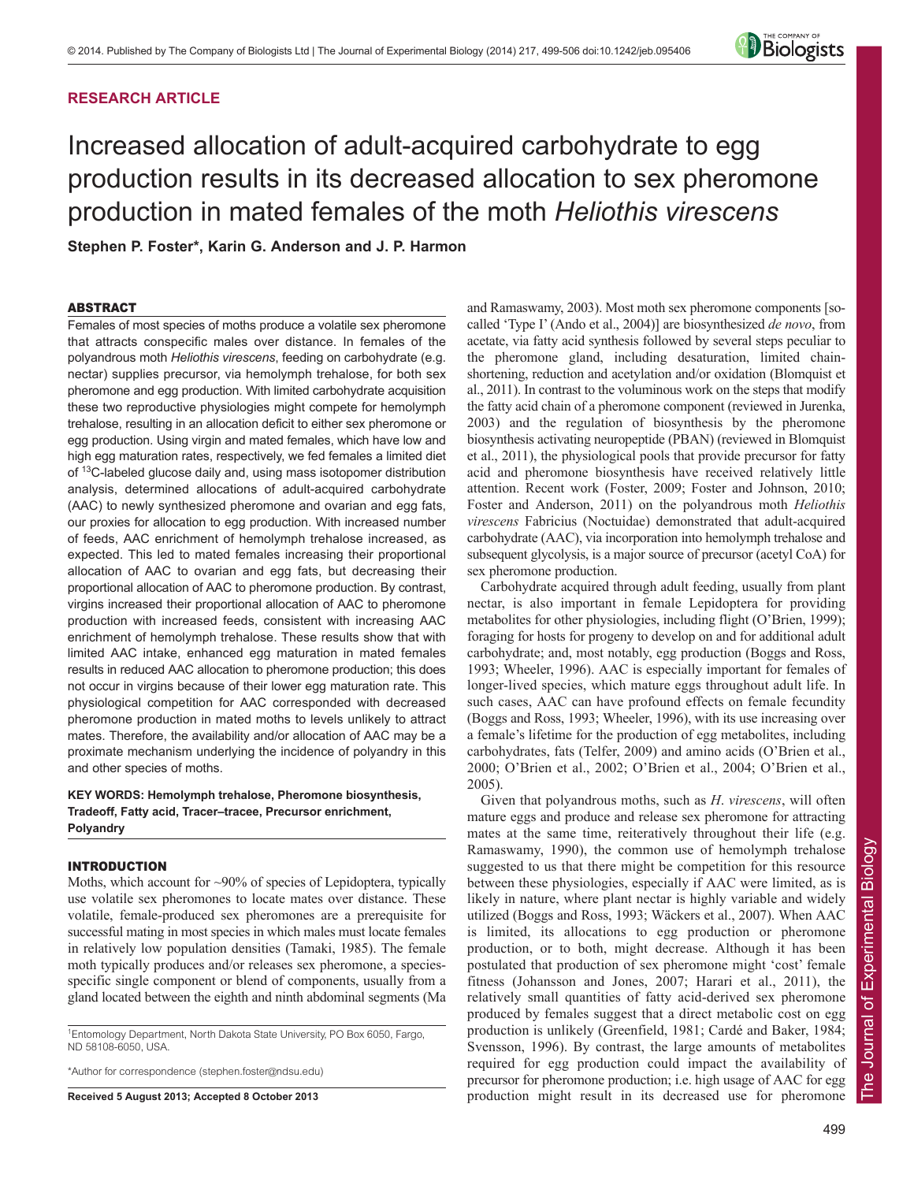# **RESEARCH ARTICLE**



# Increased allocation of adult-acquired carbohydrate to egg production results in its decreased allocation to sex pheromone production in mated females of the moth *Heliothis virescens*

**Stephen P. Foster\*, Karin G. Anderson and J. P. Harmon**

## ABSTRACT

Females of most species of moths produce a volatile sex pheromone that attracts conspecific males over distance. In females of the polyandrous moth *Heliothis virescens*, feeding on carbohydrate (e.g. nectar) supplies precursor, via hemolymph trehalose, for both sex pheromone and egg production. With limited carbohydrate acquisition these two reproductive physiologies might compete for hemolymph trehalose, resulting in an allocation deficit to either sex pheromone or egg production. Using virgin and mated females, which have low and high egg maturation rates, respectively, we fed females a limited diet of <sup>13</sup>C-labeled glucose daily and, using mass isotopomer distribution analysis, determined allocations of adult-acquired carbohydrate (AAC) to newly synthesized pheromone and ovarian and egg fats, our proxies for allocation to egg production. With increased number of feeds, AAC enrichment of hemolymph trehalose increased, as expected. This led to mated females increasing their proportional allocation of AAC to ovarian and egg fats, but decreasing their proportional allocation of AAC to pheromone production. By contrast, virgins increased their proportional allocation of AAC to pheromone production with increased feeds, consistent with increasing AAC enrichment of hemolymph trehalose. These results show that with limited AAC intake, enhanced egg maturation in mated females results in reduced AAC allocation to pheromone production; this does not occur in virgins because of their lower egg maturation rate. This physiological competition for AAC corresponded with decreased pheromone production in mated moths to levels unlikely to attract mates. Therefore, the availability and/or allocation of AAC may be a proximate mechanism underlying the incidence of polyandry in this and other species of moths.

## **KEY WORDS: Hemolymph trehalose, Pheromone biosynthesis, Tradeoff, Fatty acid, Tracer–tracee, Precursor enrichment, Polyandry**

## INTRODUCTION

Moths, which account for ~90% of species of Lepidoptera, typically use volatile sex pheromones to locate mates over distance. These volatile, female-produced sex pheromones are a prerequisite for successful mating in most species in which males must locate females in relatively low population densities (Tamaki, 1985). The female moth typically produces and/or releases sex pheromone, a speciesspecific single component or blend of components, usually from a gland located between the eighth and ninth abdominal segments (Ma

1 Entomology Department, North Dakota State University, PO Box 6050, Fargo, ND 58108-6050, USA.

\*Author for correspondence (stephen.foster@ndsu.edu)

**Received 5 August 2013; Accepted 8 October 2013**

and Ramaswamy, 2003). Most moth sex pheromone components [socalled 'Type I' (Ando et al., 2004)] are biosynthesized *de novo*, from acetate, via fatty acid synthesis followed by several steps peculiar to the pheromone gland, including desaturation, limited chainshortening, reduction and acetylation and/or oxidation (Blomquist et al., 2011). In contrast to the voluminous work on the steps that modify the fatty acid chain of a pheromone component (reviewed in Jurenka, 2003) and the regulation of biosynthesis by the pheromone biosynthesis activating neuropeptide (PBAN) (reviewed in Blomquist et al., 2011), the physiological pools that provide precursor for fatty acid and pheromone biosynthesis have received relatively little attention. Recent work (Foster, 2009; Foster and Johnson, 2010; Foster and Anderson, 2011) on the polyandrous moth *Heliothis virescens* Fabricius (Noctuidae) demonstrated that adult-acquired carbohydrate (AAC), via incorporation into hemolymph trehalose and subsequent glycolysis, is a major source of precursor (acetyl CoA) for sex pheromone production.

Carbohydrate acquired through adult feeding, usually from plant nectar, is also important in female Lepidoptera for providing metabolites for other physiologies, including flight (O'Brien, 1999); foraging for hosts for progeny to develop on and for additional adult carbohydrate; and, most notably, egg production (Boggs and Ross, 1993; Wheeler, 1996). AAC is especially important for females of longer-lived species, which mature eggs throughout adult life. In such cases, AAC can have profound effects on female fecundity (Boggs and Ross, 1993; Wheeler, 1996), with its use increasing over a female's lifetime for the production of egg metabolites, including carbohydrates, fats (Telfer, 2009) and amino acids (O'Brien et al., 2000; O'Brien et al., 2002; O'Brien et al., 2004; O'Brien et al., 2005).

Given that polyandrous moths, such as *H*. *virescens*, will often mature eggs and produce and release sex pheromone for attracting mates at the same time, reiteratively throughout their life (e.g. Ramaswamy, 1990), the common use of hemolymph trehalose suggested to us that there might be competition for this resource between these physiologies, especially if AAC were limited, as is likely in nature, where plant nectar is highly variable and widely utilized (Boggs and Ross, 1993; Wäckers et al., 2007). When AAC is limited, its allocations to egg production or pheromone production, or to both, might decrease. Although it has been postulated that production of sex pheromone might 'cost' female fitness (Johansson and Jones, 2007; Harari et al., 2011), the relatively small quantities of fatty acid-derived sex pheromone produced by females suggest that a direct metabolic cost on egg production is unlikely (Greenfield, 1981; Cardé and Baker, 1984; Svensson, 1996). By contrast, the large amounts of metabolites required for egg production could impact the availability of precursor for pheromone production; i.e. high usage of AAC for egg production might result in its decreased use for pheromone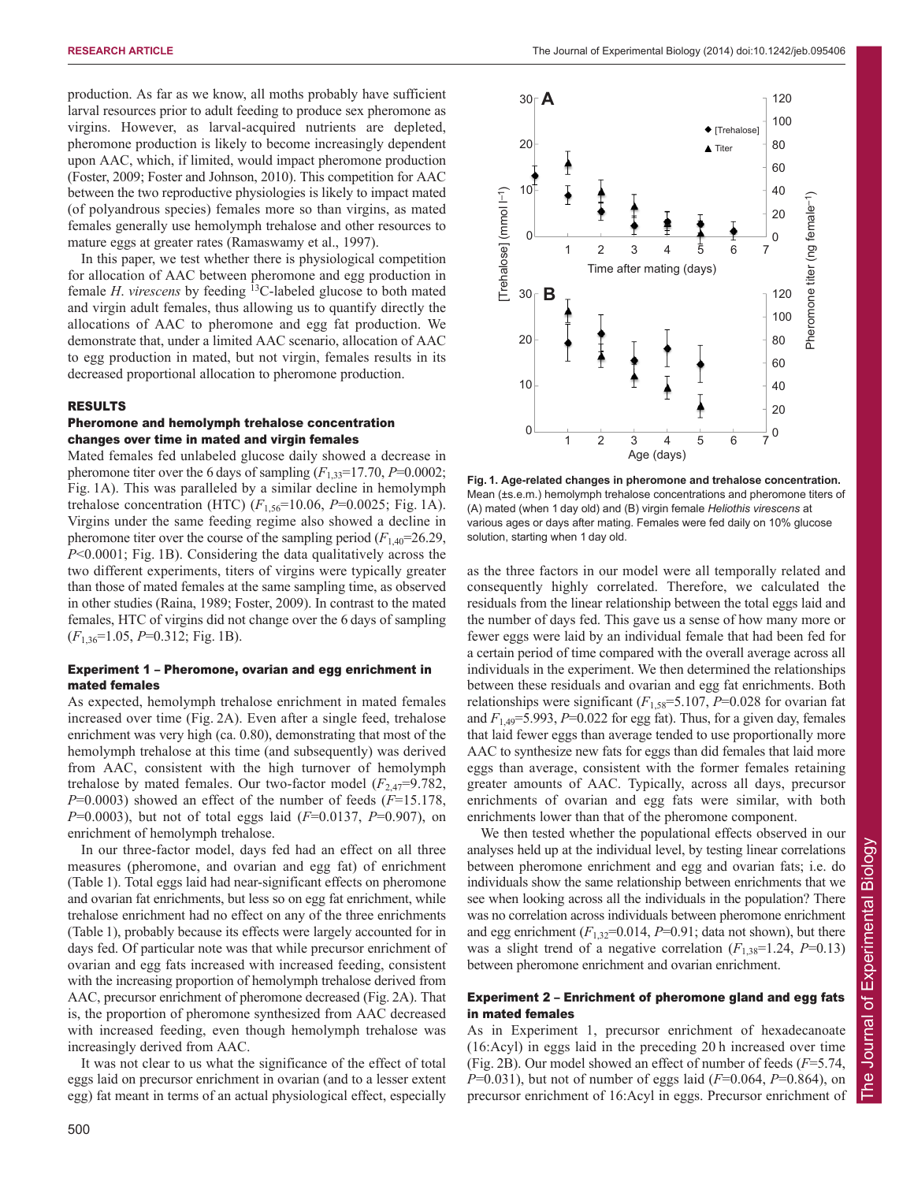production. As far as we know, all moths probably have sufficient larval resources prior to adult feeding to produce sex pheromone as virgins. However, as larval-acquired nutrients are depleted, pheromone production is likely to become increasingly dependent upon AAC, which, if limited, would impact pheromone production (Foster, 2009; Foster and Johnson, 2010). This competition for AAC between the two reproductive physiologies is likely to impact mated (of polyandrous species) females more so than virgins, as mated females generally use hemolymph trehalose and other resources to mature eggs at greater rates (Ramaswamy et al., 1997).

In this paper, we test whether there is physiological competition for allocation of AAC between pheromone and egg production in female *H*. *virescens* by feeding 13C-labeled glucose to both mated and virgin adult females, thus allowing us to quantify directly the allocations of AAC to pheromone and egg fat production. We demonstrate that, under a limited AAC scenario, allocation of AAC to egg production in mated, but not virgin, females results in its decreased proportional allocation to pheromone production.

#### RESULTS

## Pheromone and hemolymph trehalose concentration changes over time in mated and virgin females

Mated females fed unlabeled glucose daily showed a decrease in pheromone titer over the 6 days of sampling  $(F_{1,33}=17.70, P=0.0002;$ Fig. 1A). This was paralleled by a similar decline in hemolymph trehalose concentration (HTC) (*F*1,56=10.06, *P*=0.0025; Fig. 1A). Virgins under the same feeding regime also showed a decline in pheromone titer over the course of the sampling period  $(F_{1,40}=26.29)$ , *P*<0.0001; Fig. 1B). Considering the data qualitatively across the two different experiments, titers of virgins were typically greater than those of mated females at the same sampling time, as observed in other studies (Raina, 1989; Foster, 2009). In contrast to the mated females, HTC of virgins did not change over the 6 days of sampling (*F*1,36=1.05, *P*=0.312; Fig. 1B).

#### Experiment 1 – Pheromone, ovarian and egg enrichment in mated females

As expected, hemolymph trehalose enrichment in mated females increased over time (Fig. 2A). Even after a single feed, trehalose enrichment was very high (ca. 0.80), demonstrating that most of the hemolymph trehalose at this time (and subsequently) was derived from AAC, consistent with the high turnover of hemolymph trehalose by mated females. Our two-factor model  $(F_{2,47}=9.782)$ , *P*=0.0003) showed an effect of the number of feeds (*F*=15.178, *P*=0.0003), but not of total eggs laid (*F*=0.0137, *P*=0.907), on enrichment of hemolymph trehalose.

In our three-factor model, days fed had an effect on all three measures (pheromone, and ovarian and egg fat) of enrichment (Table 1). Total eggs laid had near-significant effects on pheromone and ovarian fat enrichments, but less so on egg fat enrichment, while trehalose enrichment had no effect on any of the three enrichments (Table 1), probably because its effects were largely accounted for in days fed. Of particular note was that while precursor enrichment of ovarian and egg fats increased with increased feeding, consistent with the increasing proportion of hemolymph trehalose derived from AAC, precursor enrichment of pheromone decreased (Fig. 2A). That is, the proportion of pheromone synthesized from AAC decreased with increased feeding, even though hemolymph trehalose was increasingly derived from AAC.

It was not clear to us what the significance of the effect of total eggs laid on precursor enrichment in ovarian (and to a lesser extent egg) fat meant in terms of an actual physiological effect, especially



**Fig. 1. Age-related changes in pheromone and trehalose concentration.** Mean (±s.e.m.) hemolymph trehalose concentrations and pheromone titers of (A) mated (when 1 day old) and (B) virgin female *Heliothis virescens* at various ages or days after mating. Females were fed daily on 10% glucose solution, starting when 1 day old.

as the three factors in our model were all temporally related and consequently highly correlated. Therefore, we calculated the residuals from the linear relationship between the total eggs laid and the number of days fed. This gave us a sense of how many more or fewer eggs were laid by an individual female that had been fed for a certain period of time compared with the overall average across all individuals in the experiment. We then determined the relationships between these residuals and ovarian and egg fat enrichments. Both relationships were significant  $(F_{1,58}=5.107, P=0.028$  for ovarian fat and  $F_{1,49}$ =5.993, *P*=0.022 for egg fat). Thus, for a given day, females that laid fewer eggs than average tended to use proportionally more AAC to synthesize new fats for eggs than did females that laid more eggs than average, consistent with the former females retaining greater amounts of AAC. Typically, across all days, precursor enrichments of ovarian and egg fats were similar, with both enrichments lower than that of the pheromone component.

We then tested whether the populational effects observed in our analyses held up at the individual level, by testing linear correlations between pheromone enrichment and egg and ovarian fats; i.e. do individuals show the same relationship between enrichments that we see when looking across all the individuals in the population? There was no correlation across individuals between pheromone enrichment and egg enrichment  $(F_{1,32}=0.014, P=0.91;$  data not shown), but there was a slight trend of a negative correlation  $(F_{1,38}=1.24, P=0.13)$ between pheromone enrichment and ovarian enrichment.

## Experiment 2 – Enrichment of pheromone gland and egg fats in mated females

As in Experiment 1, precursor enrichment of hexadecanoate (16:Acyl) in eggs laid in the preceding 20 h increased over time (Fig. 2B). Our model showed an effect of number of feeds (*F*=5.74, *P*=0.031), but not of number of eggs laid (*F*=0.064, *P*=0.864), on precursor enrichment of 16:Acyl in eggs. Precursor enrichment of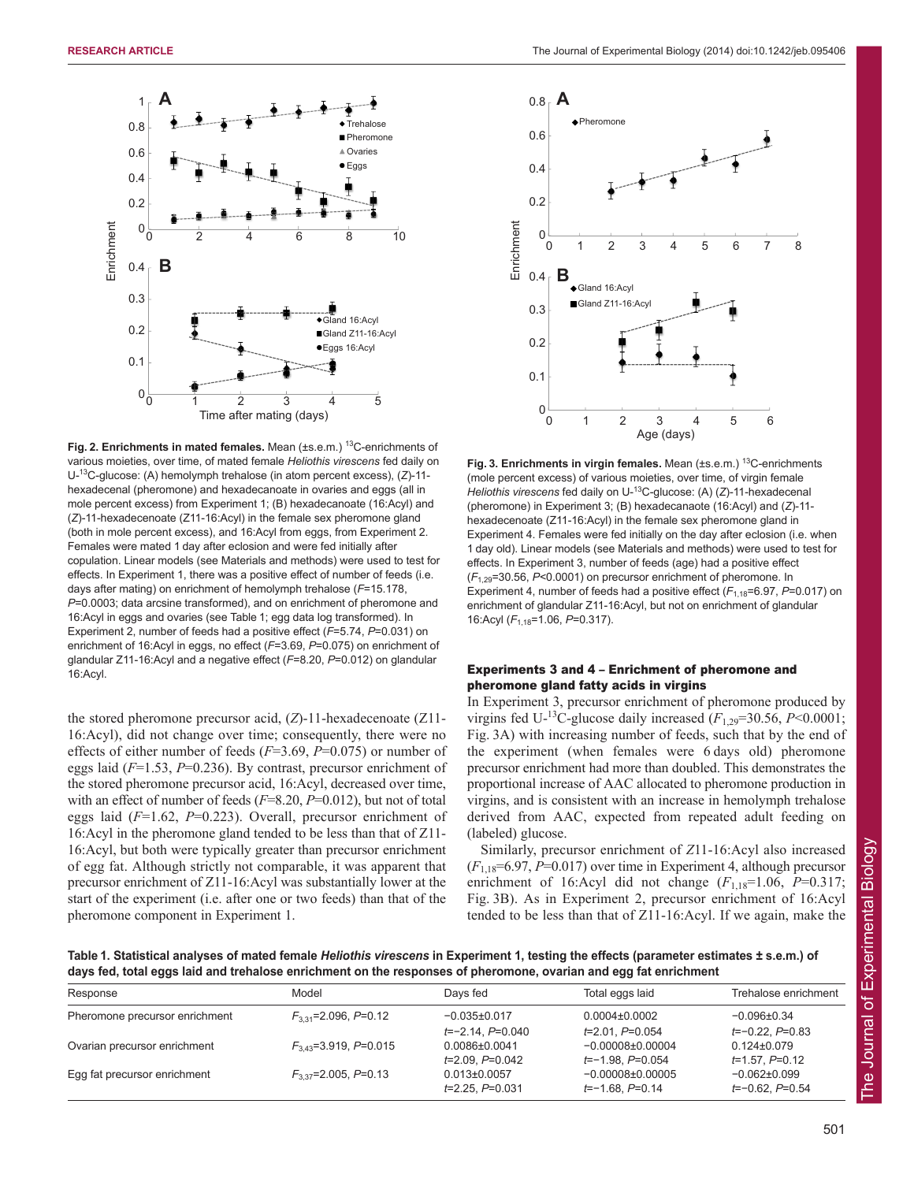

**Fig. 2. Enrichments in mated females.** Mean (±s.e.m.) 13C-enrichments of various moieties, over time, of mated female *Heliothis virescens* fed daily on U-13C-glucose: (A) hemolymph trehalose (in atom percent excess), (*Z*)-11 hexadecenal (pheromone) and hexadecanoate in ovaries and eggs (all in mole percent excess) from Experiment 1; (B) hexadecanoate (16:Acyl) and (*Z*)-11-hexadecenoate (Z11-16:Acyl) in the female sex pheromone gland (both in mole percent excess), and 16:Acyl from eggs, from Experiment 2. Females were mated 1 day after eclosion and were fed initially after copulation. Linear models (see Materials and methods) were used to test for effects. In Experiment 1, there was a positive effect of number of feeds (i.e. days after mating) on enrichment of hemolymph trehalose (*F*=15.178, *P*=0.0003; data arcsine transformed), and on enrichment of pheromone and 16:Acyl in eggs and ovaries (see Table 1; egg data log transformed). In Experiment 2, number of feeds had a positive effect (*F*=5.74, *P*=0.031) on enrichment of 16:Acyl in eggs, no effect (*F*=3.69, *P*=0.075) on enrichment of glandular Z11-16:Acyl and a negative effect (*F*=8.20, *P*=0.012) on glandular 16:Acyl.

the stored pheromone precursor acid, (*Z*)-11-hexadecenoate (Z11- 16:Acyl), did not change over time; consequently, there were no effects of either number of feeds (*F*=3.69, *P*=0.075) or number of eggs laid (*F*=1.53, *P*=0.236). By contrast, precursor enrichment of the stored pheromone precursor acid, 16:Acyl, decreased over time, with an effect of number of feeds (*F*=8.20, *P*=0.012), but not of total eggs laid (*F*=1.62, *P*=0.223). Overall, precursor enrichment of 16:Acyl in the pheromone gland tended to be less than that of Z11- 16:Acyl, but both were typically greater than precursor enrichment of egg fat. Although strictly not comparable, it was apparent that precursor enrichment of Z11-16:Acyl was substantially lower at the start of the experiment (i.e. after one or two feeds) than that of the pheromone component in Experiment 1.



**Fig. 3. Enrichments in virgin females.** Mean (±s.e.m.) 13C-enrichments (mole percent excess) of various moieties, over time, of virgin female *Heliothis virescens* fed daily on U-13C-glucose: (A) (*Z*)-11-hexadecenal (pheromone) in Experiment 3; (B) hexadecanaote (16:Acyl) and (*Z*)-11 hexadecenoate (Z11-16:Acyl) in the female sex pheromone gland in Experiment 4. Females were fed initially on the day after eclosion (i.e. when 1 day old). Linear models (see Materials and methods) were used to test for effects. In Experiment 3, number of feeds (age) had a positive effect (*F*1,29=30.56, *P*<0.0001) on precursor enrichment of pheromone. In Experiment 4, number of feeds had a positive effect ( $F_{1,18}=6.97$ ,  $P=0.017$ ) on enrichment of glandular Z11-16:Acyl, but not on enrichment of glandular 16:Acyl (*F*1,18=1.06, *P*=0.317).

## Experiments 3 and 4 – Enrichment of pheromone and pheromone gland fatty acids in virgins

In Experiment 3, precursor enrichment of pheromone produced by virgins fed U-<sup>13</sup>C-glucose daily increased ( $F_{1,29}$ =30.56, *P*<0.0001; Fig. 3A) with increasing number of feeds, such that by the end of the experiment (when females were 6 days old) pheromone precursor enrichment had more than doubled. This demonstrates the proportional increase of AAC allocated to pheromone production in virgins, and is consistent with an increase in hemolymph trehalose derived from AAC, expected from repeated adult feeding on (labeled) glucose.

Similarly, precursor enrichment of *Z*11-16:Acyl also increased (*F*1,18=6.97, *P*=0.017) over time in Experiment 4, although precursor enrichment of 16:Acyl did not change  $(F_{1,18}=1.06, P=0.317;$ Fig. 3B). As in Experiment 2, precursor enrichment of 16:Acyl tended to be less than that of Z11-16:Acyl. If we again, make the

**Table 1. Statistical analyses of mated female** *Heliothis virescens* **in Experiment 1, testing the effects (parameter estimates ± s.e.m.) of days fed, total eggs laid and trehalose enrichment on the responses of pheromone, ovarian and egg fat enrichment**

| Model                      | Days fed                  | Total eggs laid      | Trehalose enrichment |
|----------------------------|---------------------------|----------------------|----------------------|
|                            | $-0.035\pm0.017$          | $0.0004 \pm 0.0002$  | $-0.096\pm0.34$      |
|                            | $t=-2.14. P=0.040$        |                      | $t=-0.22$ . $P=0.83$ |
| $F_{3,43}$ =3.919, P=0.015 | $0.0086 \pm 0.0041$       | $-0.00008 + 0.00004$ | $0.124 \pm 0.079$    |
|                            | $t=2.09, P=0.042$         | $t=-1.98. P=0.054$   | $t=1.57. P=0.12$     |
| $F_{3,37}$ =2.005, P=0.13  | $0.013 \pm 0.0057$        | $-0.00008 + 0.00005$ | $-0.062\pm0.099$     |
|                            | $t=2.25, P=0.031$         | $t=-1.68, P=0.14$    | $t=-0.62, P=0.54$    |
|                            | $F_{3,31}$ =2.096, P=0.12 |                      | $t=2.01, P=0.054$    |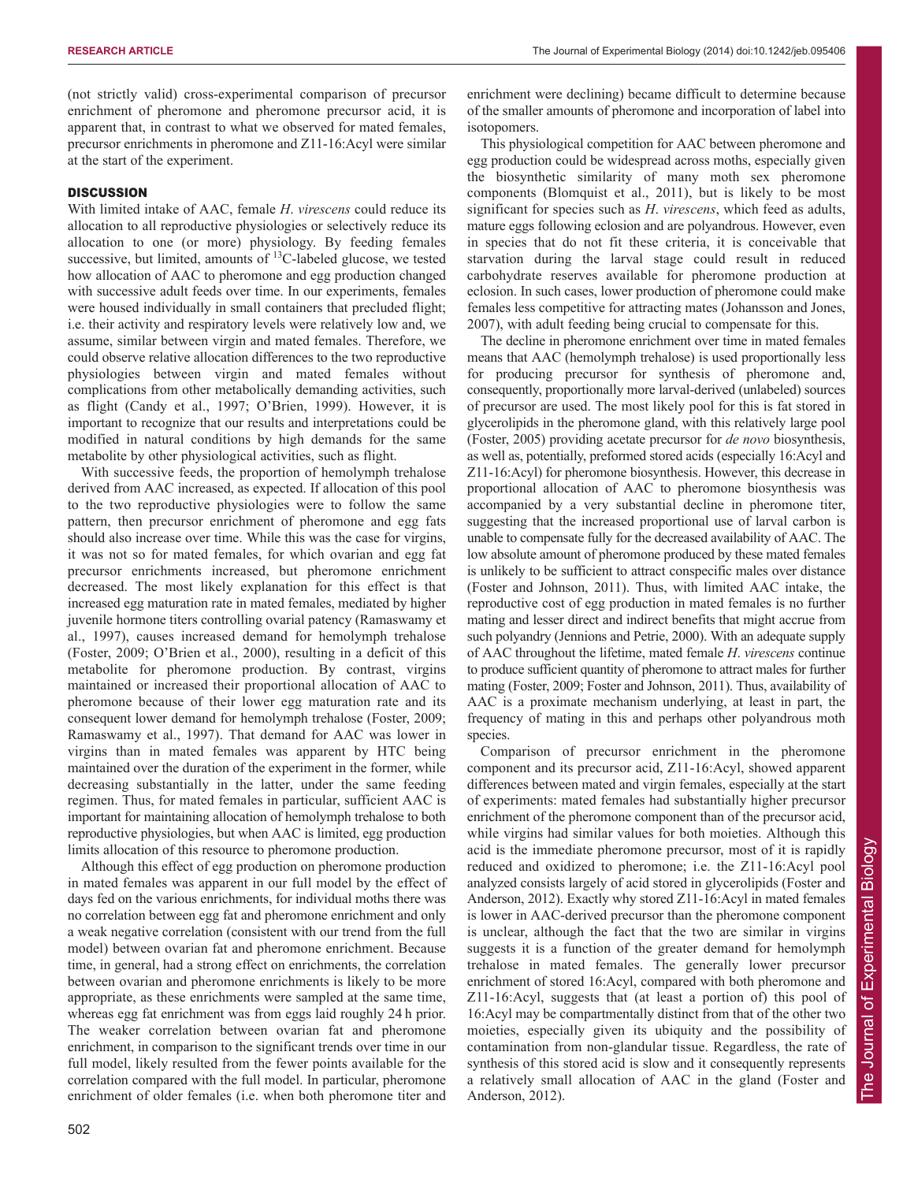(not strictly valid) cross-experimental comparison of precursor enrichment of pheromone and pheromone precursor acid, it is apparent that, in contrast to what we observed for mated females, precursor enrichments in pheromone and Z11-16:Acyl were similar at the start of the experiment.

## **DISCUSSION**

With limited intake of AAC, female *H*. *virescens* could reduce its allocation to all reproductive physiologies or selectively reduce its allocation to one (or more) physiology. By feeding females successive, but limited, amounts of <sup>13</sup>C-labeled glucose, we tested how allocation of AAC to pheromone and egg production changed with successive adult feeds over time. In our experiments, females were housed individually in small containers that precluded flight; i.e. their activity and respiratory levels were relatively low and, we assume, similar between virgin and mated females. Therefore, we could observe relative allocation differences to the two reproductive physiologies between virgin and mated females without complications from other metabolically demanding activities, such as flight (Candy et al., 1997; O'Brien, 1999). However, it is important to recognize that our results and interpretations could be modified in natural conditions by high demands for the same metabolite by other physiological activities, such as flight.

With successive feeds, the proportion of hemolymph trehalose derived from AAC increased, as expected. If allocation of this pool to the two reproductive physiologies were to follow the same pattern, then precursor enrichment of pheromone and egg fats should also increase over time. While this was the case for virgins, it was not so for mated females, for which ovarian and egg fat precursor enrichments increased, but pheromone enrichment decreased. The most likely explanation for this effect is that increased egg maturation rate in mated females, mediated by higher juvenile hormone titers controlling ovarial patency (Ramaswamy et al., 1997), causes increased demand for hemolymph trehalose (Foster, 2009; O'Brien et al., 2000), resulting in a deficit of this metabolite for pheromone production. By contrast, virgins maintained or increased their proportional allocation of AAC to pheromone because of their lower egg maturation rate and its consequent lower demand for hemolymph trehalose (Foster, 2009; Ramaswamy et al., 1997). That demand for AAC was lower in virgins than in mated females was apparent by HTC being maintained over the duration of the experiment in the former, while decreasing substantially in the latter, under the same feeding regimen. Thus, for mated females in particular, sufficient AAC is important for maintaining allocation of hemolymph trehalose to both reproductive physiologies, but when AAC is limited, egg production limits allocation of this resource to pheromone production.

Although this effect of egg production on pheromone production in mated females was apparent in our full model by the effect of days fed on the various enrichments, for individual moths there was no correlation between egg fat and pheromone enrichment and only a weak negative correlation (consistent with our trend from the full model) between ovarian fat and pheromone enrichment. Because time, in general, had a strong effect on enrichments, the correlation between ovarian and pheromone enrichments is likely to be more appropriate, as these enrichments were sampled at the same time, whereas egg fat enrichment was from eggs laid roughly 24 h prior. The weaker correlation between ovarian fat and pheromone enrichment, in comparison to the significant trends over time in our full model, likely resulted from the fewer points available for the correlation compared with the full model. In particular, pheromone enrichment of older females (i.e. when both pheromone titer and enrichment were declining) became difficult to determine because of the smaller amounts of pheromone and incorporation of label into isotopomers.

This physiological competition for AAC between pheromone and egg production could be widespread across moths, especially given the biosynthetic similarity of many moth sex pheromone components (Blomquist et al., 2011), but is likely to be most significant for species such as *H*. *virescens*, which feed as adults, mature eggs following eclosion and are polyandrous. However, even in species that do not fit these criteria, it is conceivable that starvation during the larval stage could result in reduced carbohydrate reserves available for pheromone production at eclosion. In such cases, lower production of pheromone could make females less competitive for attracting mates (Johansson and Jones, 2007), with adult feeding being crucial to compensate for this.

The decline in pheromone enrichment over time in mated females means that AAC (hemolymph trehalose) is used proportionally less for producing precursor for synthesis of pheromone and, consequently, proportionally more larval-derived (unlabeled) sources of precursor are used. The most likely pool for this is fat stored in glycerolipids in the pheromone gland, with this relatively large pool (Foster, 2005) providing acetate precursor for *de novo* biosynthesis, as well as, potentially, preformed stored acids (especially 16:Acyl and Z11-16:Acyl) for pheromone biosynthesis. However, this decrease in proportional allocation of AAC to pheromone biosynthesis was accompanied by a very substantial decline in pheromone titer, suggesting that the increased proportional use of larval carbon is unable to compensate fully for the decreased availability of AAC. The low absolute amount of pheromone produced by these mated females is unlikely to be sufficient to attract conspecific males over distance (Foster and Johnson, 2011). Thus, with limited AAC intake, the reproductive cost of egg production in mated females is no further mating and lesser direct and indirect benefits that might accrue from such polyandry (Jennions and Petrie, 2000). With an adequate supply of AAC throughout the lifetime, mated female *H*. *virescens* continue to produce sufficient quantity of pheromone to attract males for further mating (Foster, 2009; Foster and Johnson, 2011). Thus, availability of AAC is a proximate mechanism underlying, at least in part, the frequency of mating in this and perhaps other polyandrous moth species.

Comparison of precursor enrichment in the pheromone component and its precursor acid, Z11-16:Acyl, showed apparent differences between mated and virgin females, especially at the start of experiments: mated females had substantially higher precursor enrichment of the pheromone component than of the precursor acid, while virgins had similar values for both moieties. Although this acid is the immediate pheromone precursor, most of it is rapidly reduced and oxidized to pheromone; i.e. the Z11-16:Acyl pool analyzed consists largely of acid stored in glycerolipids (Foster and Anderson, 2012). Exactly why stored Z11-16:Acyl in mated females is lower in AAC-derived precursor than the pheromone component is unclear, although the fact that the two are similar in virgins suggests it is a function of the greater demand for hemolymph trehalose in mated females. The generally lower precursor enrichment of stored 16:Acyl, compared with both pheromone and Z11-16:Acyl, suggests that (at least a portion of) this pool of 16:Acyl may be compartmentally distinct from that of the other two moieties, especially given its ubiquity and the possibility of contamination from non-glandular tissue. Regardless, the rate of synthesis of this stored acid is slow and it consequently represents a relatively small allocation of AAC in the gland (Foster and Anderson, 2012).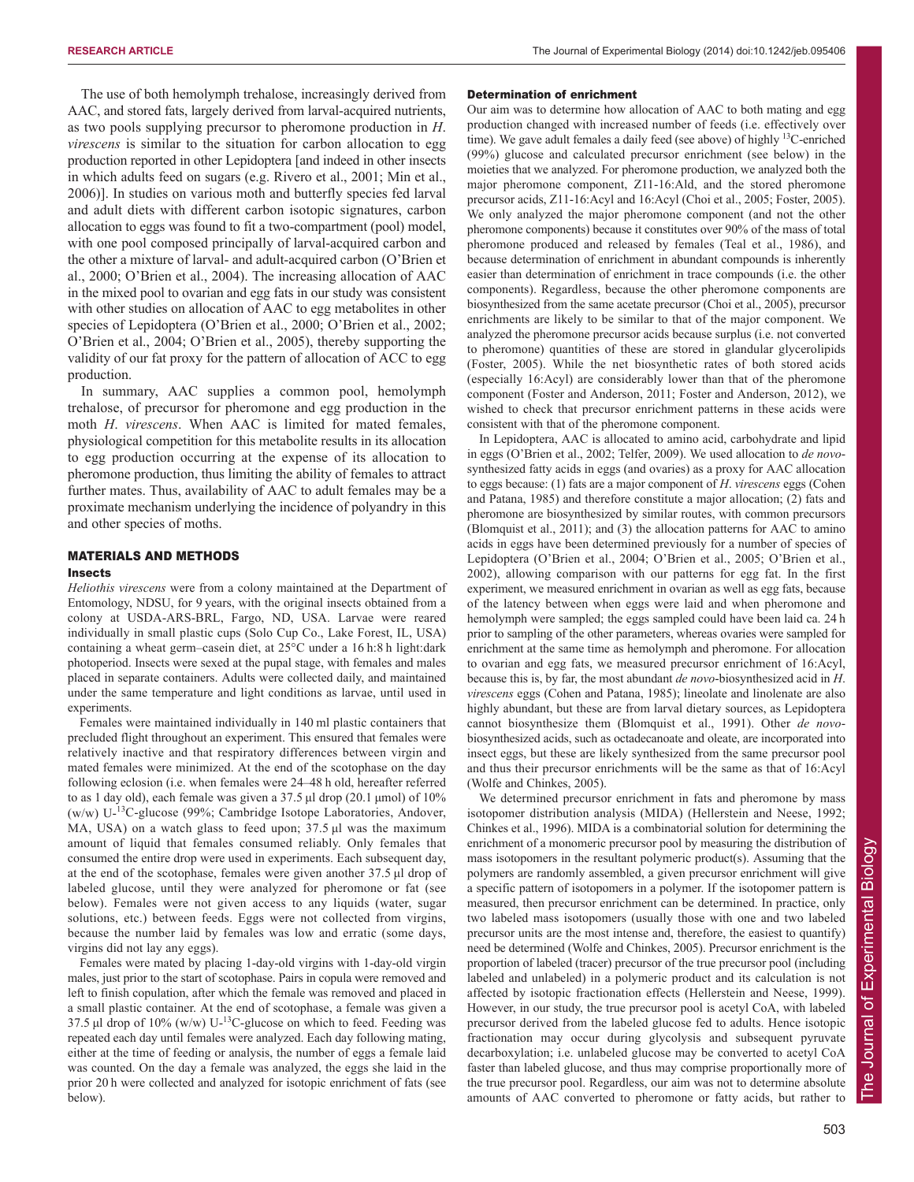The use of both hemolymph trehalose, increasingly derived from AAC, and stored fats, largely derived from larval-acquired nutrients, as two pools supplying precursor to pheromone production in *H*. *virescens* is similar to the situation for carbon allocation to egg production reported in other Lepidoptera [and indeed in other insects in which adults feed on sugars (e.g. Rivero et al., 2001; Min et al., 2006)]. In studies on various moth and butterfly species fed larval and adult diets with different carbon isotopic signatures, carbon allocation to eggs was found to fit a two-compartment (pool) model, with one pool composed principally of larval-acquired carbon and the other a mixture of larval- and adult-acquired carbon (O'Brien et al., 2000; O'Brien et al., 2004). The increasing allocation of AAC in the mixed pool to ovarian and egg fats in our study was consistent with other studies on allocation of AAC to egg metabolites in other species of Lepidoptera (O'Brien et al., 2000; O'Brien et al., 2002; O'Brien et al., 2004; O'Brien et al., 2005), thereby supporting the validity of our fat proxy for the pattern of allocation of ACC to egg production.

In summary, AAC supplies a common pool, hemolymph trehalose, of precursor for pheromone and egg production in the moth *H*. *virescens*. When AAC is limited for mated females, physiological competition for this metabolite results in its allocation to egg production occurring at the expense of its allocation to pheromone production, thus limiting the ability of females to attract further mates. Thus, availability of AAC to adult females may be a proximate mechanism underlying the incidence of polyandry in this and other species of moths.

## MATERIALS AND METHODS

#### Insects

*Heliothis virescens* were from a colony maintained at the Department of Entomology, NDSU, for 9 years, with the original insects obtained from a colony at USDA-ARS-BRL, Fargo, ND, USA. Larvae were reared individually in small plastic cups (Solo Cup Co., Lake Forest, IL, USA) containing a wheat germ–casein diet, at 25°C under a 16 h:8 h light:dark photoperiod. Insects were sexed at the pupal stage, with females and males placed in separate containers. Adults were collected daily, and maintained under the same temperature and light conditions as larvae, until used in experiments.

Females were maintained individually in 140 ml plastic containers that precluded flight throughout an experiment. This ensured that females were relatively inactive and that respiratory differences between virgin and mated females were minimized. At the end of the scotophase on the day following eclosion (i.e. when females were 24–48 h old, hereafter referred to as 1 day old), each female was given a 37.5 μl drop (20.1 μmol) of 10% (w/w) U-13C-glucose (99%; Cambridge Isotope Laboratories, Andover, MA, USA) on a watch glass to feed upon; 37.5 μl was the maximum amount of liquid that females consumed reliably. Only females that consumed the entire drop were used in experiments. Each subsequent day, at the end of the scotophase, females were given another 37.5 μl drop of labeled glucose, until they were analyzed for pheromone or fat (see below). Females were not given access to any liquids (water, sugar solutions, etc.) between feeds. Eggs were not collected from virgins, because the number laid by females was low and erratic (some days, virgins did not lay any eggs).

Females were mated by placing 1-day-old virgins with 1-day-old virgin males, just prior to the start of scotophase. Pairs in copula were removed and left to finish copulation, after which the female was removed and placed in a small plastic container. At the end of scotophase, a female was given a 37.5 μl drop of 10% (w/w) U-13C-glucose on which to feed. Feeding was repeated each day until females were analyzed. Each day following mating, either at the time of feeding or analysis, the number of eggs a female laid was counted. On the day a female was analyzed, the eggs she laid in the prior 20 h were collected and analyzed for isotopic enrichment of fats (see below).

#### Determination of enrichment

Our aim was to determine how allocation of AAC to both mating and egg production changed with increased number of feeds (i.e. effectively over time). We gave adult females a daily feed (see above) of highly <sup>13</sup>C-enriched (99%) glucose and calculated precursor enrichment (see below) in the moieties that we analyzed. For pheromone production, we analyzed both the major pheromone component, Z11-16:Ald, and the stored pheromone precursor acids, Z11-16:Acyl and 16:Acyl (Choi et al., 2005; Foster, 2005). We only analyzed the major pheromone component (and not the other pheromone components) because it constitutes over 90% of the mass of total pheromone produced and released by females (Teal et al., 1986), and because determination of enrichment in abundant compounds is inherently easier than determination of enrichment in trace compounds (i.e. the other components). Regardless, because the other pheromone components are biosynthesized from the same acetate precursor (Choi et al., 2005), precursor enrichments are likely to be similar to that of the major component. We analyzed the pheromone precursor acids because surplus (i.e. not converted to pheromone) quantities of these are stored in glandular glycerolipids (Foster, 2005). While the net biosynthetic rates of both stored acids (especially 16:Acyl) are considerably lower than that of the pheromone component (Foster and Anderson, 2011; Foster and Anderson, 2012), we wished to check that precursor enrichment patterns in these acids were consistent with that of the pheromone component.

In Lepidoptera, AAC is allocated to amino acid, carbohydrate and lipid in eggs (O'Brien et al., 2002; Telfer, 2009). We used allocation to *de novo*synthesized fatty acids in eggs (and ovaries) as a proxy for AAC allocation to eggs because: (1) fats are a major component of *H*. *virescens* eggs (Cohen and Patana, 1985) and therefore constitute a major allocation; (2) fats and pheromone are biosynthesized by similar routes, with common precursors (Blomquist et al., 2011); and (3) the allocation patterns for AAC to amino acids in eggs have been determined previously for a number of species of Lepidoptera (O'Brien et al., 2004; O'Brien et al., 2005; O'Brien et al., 2002), allowing comparison with our patterns for egg fat. In the first experiment, we measured enrichment in ovarian as well as egg fats, because of the latency between when eggs were laid and when pheromone and hemolymph were sampled; the eggs sampled could have been laid ca. 24 h prior to sampling of the other parameters, whereas ovaries were sampled for enrichment at the same time as hemolymph and pheromone. For allocation to ovarian and egg fats, we measured precursor enrichment of 16:Acyl, because this is, by far, the most abundant *de novo*-biosynthesized acid in *H*. *virescens* eggs (Cohen and Patana, 1985); lineolate and linolenate are also highly abundant, but these are from larval dietary sources, as Lepidoptera cannot biosynthesize them (Blomquist et al., 1991). Other *de novo*biosynthesized acids, such as octadecanoate and oleate, are incorporated into insect eggs, but these are likely synthesized from the same precursor pool and thus their precursor enrichments will be the same as that of 16:Acyl (Wolfe and Chinkes, 2005).

We determined precursor enrichment in fats and pheromone by mass isotopomer distribution analysis (MIDA) (Hellerstein and Neese, 1992; Chinkes et al., 1996). MIDA is a combinatorial solution for determining the enrichment of a monomeric precursor pool by measuring the distribution of mass isotopomers in the resultant polymeric product(s). Assuming that the polymers are randomly assembled, a given precursor enrichment will give a specific pattern of isotopomers in a polymer. If the isotopomer pattern is measured, then precursor enrichment can be determined. In practice, only two labeled mass isotopomers (usually those with one and two labeled precursor units are the most intense and, therefore, the easiest to quantify) need be determined (Wolfe and Chinkes, 2005). Precursor enrichment is the proportion of labeled (tracer) precursor of the true precursor pool (including labeled and unlabeled) in a polymeric product and its calculation is not affected by isotopic fractionation effects (Hellerstein and Neese, 1999). However, in our study, the true precursor pool is acetyl CoA, with labeled precursor derived from the labeled glucose fed to adults. Hence isotopic fractionation may occur during glycolysis and subsequent pyruvate decarboxylation; i.e. unlabeled glucose may be converted to acetyl CoA faster than labeled glucose, and thus may comprise proportionally more of the true precursor pool. Regardless, our aim was not to determine absolute amounts of AAC converted to pheromone or fatty acids, but rather to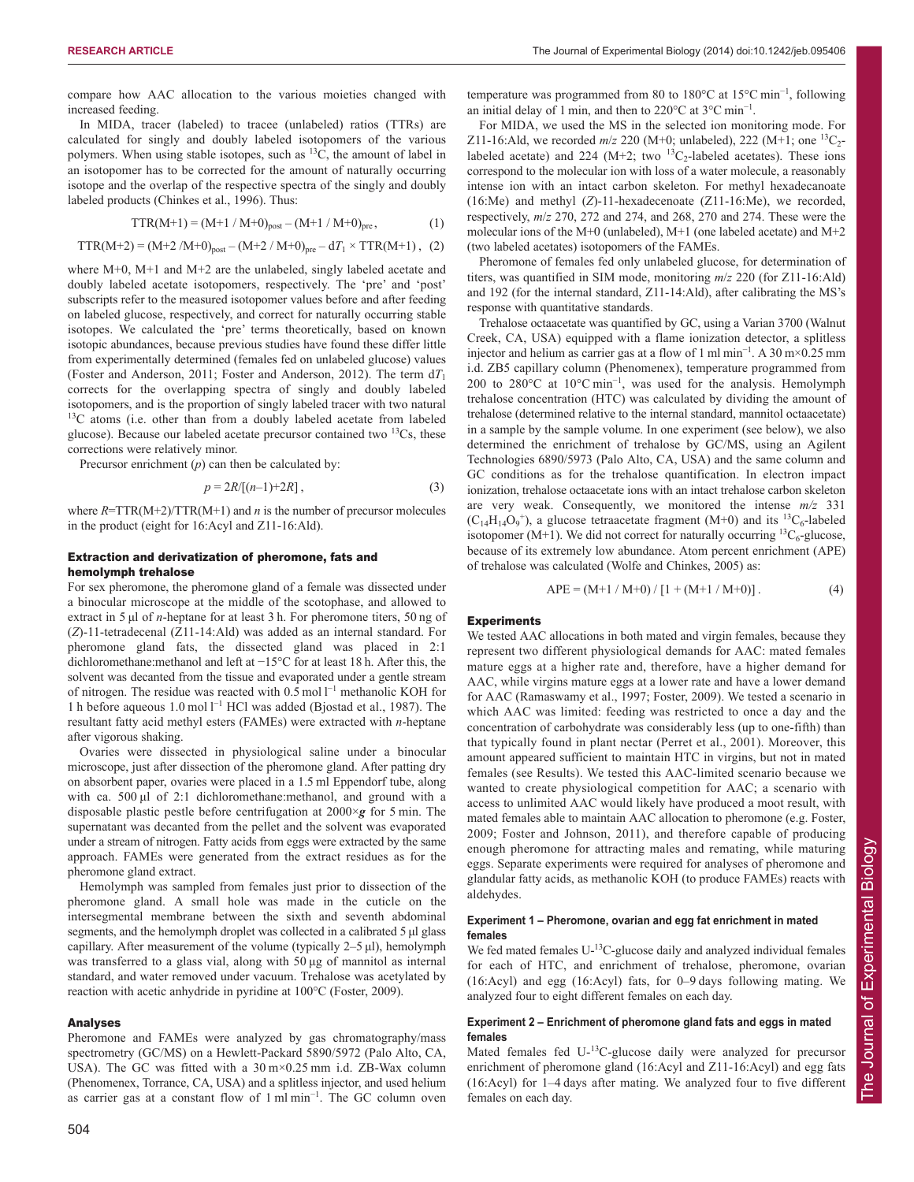compare how AAC allocation to the various moieties changed with increased feeding.

In MIDA, tracer (labeled) to tracee (unlabeled) ratios (TTRs) are calculated for singly and doubly labeled isotopomers of the various polymers. When using stable isotopes, such as 13C, the amount of label in an isotopomer has to be corrected for the amount of naturally occurring isotope and the overlap of the respective spectra of the singly and doubly labeled products (Chinkes et al., 1996). Thus:

$$
TTR(M+1) = (M+1/M+0)_{post} - (M+1/M+0)_{pre},
$$
 (1)

$$
TTR(M+2) = (M+2/M+0)_{post} - (M+2/M+0)_{pre} - dT_1 \times TTR(M+1), (2)
$$

where M+0, M+1 and M+2 are the unlabeled, singly labeled acetate and doubly labeled acetate isotopomers, respectively. The 'pre' and 'post' subscripts refer to the measured isotopomer values before and after feeding on labeled glucose, respectively, and correct for naturally occurring stable isotopes. We calculated the 'pre' terms theoretically, based on known isotopic abundances, because previous studies have found these differ little from experimentally determined (females fed on unlabeled glucose) values (Foster and Anderson, 2011; Foster and Anderson, 2012). The term d*T*<sup>1</sup> corrects for the overlapping spectra of singly and doubly labeled isotopomers, and is the proportion of singly labeled tracer with two natural <sup>13</sup>C atoms (i.e. other than from a doubly labeled acetate from labeled glucose). Because our labeled acetate precursor contained two <sup>13</sup>Cs, these corrections were relatively minor.

Precursor enrichment (*p*) can then be calculated by:

$$
p = 2R/[(n-1)+2R],
$$
\n(3)

where  $R = TTR(M+2)/TTR(M+1)$  and *n* is the number of precursor molecules in the product (eight for 16:Acyl and Z11-16:Ald).

## Extraction and derivatization of pheromone, fats and hemolymph trehalose

For sex pheromone, the pheromone gland of a female was dissected under a binocular microscope at the middle of the scotophase, and allowed to extract in 5 μl of *n*-heptane for at least 3 h. For pheromone titers, 50 ng of (*Z*)-11-tetradecenal (Z11-14:Ald) was added as an internal standard. For pheromone gland fats, the dissected gland was placed in 2:1 dichloromethane:methanol and left at −15°C for at least 18 h. After this, the solvent was decanted from the tissue and evaporated under a gentle stream of nitrogen. The residue was reacted with  $0.5 \text{ mol} 1^{-1}$  methanolic KOH for 1 h before aqueous 1.0 mol l <sup>−</sup><sup>1</sup> HCl was added (Bjostad et al., 1987). The resultant fatty acid methyl esters (FAMEs) were extracted with *n*-heptane after vigorous shaking.

Ovaries were dissected in physiological saline under a binocular microscope, just after dissection of the pheromone gland. After patting dry on absorbent paper, ovaries were placed in a 1.5 ml Eppendorf tube, along with ca. 500 μl of 2:1 dichloromethane:methanol, and ground with a disposable plastic pestle before centrifugation at 2000×*g* for 5 min. The supernatant was decanted from the pellet and the solvent was evaporated under a stream of nitrogen. Fatty acids from eggs were extracted by the same approach. FAMEs were generated from the extract residues as for the pheromone gland extract.

Hemolymph was sampled from females just prior to dissection of the pheromone gland. A small hole was made in the cuticle on the intersegmental membrane between the sixth and seventh abdominal segments, and the hemolymph droplet was collected in a calibrated 5 μl glass capillary. After measurement of the volume (typically  $2-5 \mu$ ), hemolymph was transferred to a glass vial, along with 50 μg of mannitol as internal standard, and water removed under vacuum. Trehalose was acetylated by reaction with acetic anhydride in pyridine at 100°C (Foster, 2009).

#### Analyses

Pheromone and FAMEs were analyzed by gas chromatography/mass spectrometry (GC/MS) on a Hewlett-Packard 5890/5972 (Palo Alto, CA, USA). The GC was fitted with a 30 m×0.25 mm i.d. ZB-Wax column (Phenomenex, Torrance, CA, USA) and a splitless injector, and used helium as carrier gas at a constant flow of 1 ml min<sup>−</sup><sup>1</sup> . The GC column oven

temperature was programmed from 80 to 180°C at 15°C min<sup>−</sup><sup>1</sup> , following an initial delay of 1 min, and then to 220°C at 3°C min<sup>−</sup><sup>1</sup> .

For MIDA, we used the MS in the selected ion monitoring mode. For Z11-16:Ald, we recorded  $m/z$  220 (M+0; unlabeled), 222 (M+1; one <sup>13</sup>C<sub>2</sub>labeled acetate) and 224 (M+2; two  $^{13}C_2$ -labeled acetates). These ions correspond to the molecular ion with loss of a water molecule, a reasonably intense ion with an intact carbon skeleton. For methyl hexadecanoate (16:Me) and methyl (*Z*)-11-hexadecenoate (Z11-16:Me), we recorded, respectively, *m*/*z* 270, 272 and 274, and 268, 270 and 274. These were the molecular ions of the M+0 (unlabeled), M+1 (one labeled acetate) and M+2 (two labeled acetates) isotopomers of the FAMEs.

Pheromone of females fed only unlabeled glucose, for determination of titers, was quantified in SIM mode, monitoring *m*/*z* 220 (for Z11-16:Ald) and 192 (for the internal standard, Z11-14:Ald), after calibrating the MS's response with quantitative standards.

Trehalose octaacetate was quantified by GC, using a Varian 3700 (Walnut Creek, CA, USA) equipped with a flame ionization detector, a splitless injector and helium as carrier gas at a flow of 1 ml min<sup>−</sup><sup>1</sup> . A 30 m×0.25 mm i.d. ZB5 capillary column (Phenomenex), temperature programmed from 200 to 280°C at 10°C min<sup>-1</sup>, was used for the analysis. Hemolymph trehalose concentration (HTC) was calculated by dividing the amount of trehalose (determined relative to the internal standard, mannitol octaacetate) in a sample by the sample volume. In one experiment (see below), we also determined the enrichment of trehalose by GC/MS, using an Agilent Technologies 6890/5973 (Palo Alto, CA, USA) and the same column and GC conditions as for the trehalose quantification. In electron impact ionization, trehalose octaacetate ions with an intact trehalose carbon skeleton are very weak. Consequently, we monitored the intense *m/z* 331  $(C_{14}H_{14}O_9^+)$ , a glucose tetraacetate fragment (M+0) and its <sup>13</sup>C<sub>6</sub>-labeled isotopomer (M+1). We did not correct for naturally occurring  ${}^{13}C_6$ -glucose, because of its extremely low abundance. Atom percent enrichment (APE) of trehalose was calculated (Wolfe and Chinkes, 2005) as:

$$
APE = (M+1/M+0) / [1 + (M+1/M+0)].
$$
\n(4)

#### **Experiments**

We tested AAC allocations in both mated and virgin females, because they represent two different physiological demands for AAC: mated females mature eggs at a higher rate and, therefore, have a higher demand for AAC, while virgins mature eggs at a lower rate and have a lower demand for AAC (Ramaswamy et al., 1997; Foster, 2009). We tested a scenario in which AAC was limited: feeding was restricted to once a day and the concentration of carbohydrate was considerably less (up to one-fifth) than that typically found in plant nectar (Perret et al., 2001). Moreover, this amount appeared sufficient to maintain HTC in virgins, but not in mated females (see Results). We tested this AAC-limited scenario because we wanted to create physiological competition for AAC; a scenario with access to unlimited AAC would likely have produced a moot result, with mated females able to maintain AAC allocation to pheromone (e.g. Foster, 2009; Foster and Johnson, 2011), and therefore capable of producing enough pheromone for attracting males and remating, while maturing eggs. Separate experiments were required for analyses of pheromone and glandular fatty acids, as methanolic KOH (to produce FAMEs) reacts with aldehydes.

#### **Experiment 1 – Pheromone, ovarian and egg fat enrichment in mated females**

We fed mated females U-<sup>13</sup>C-glucose daily and analyzed individual females for each of HTC, and enrichment of trehalose, pheromone, ovarian (16:Acyl) and egg (16:Acyl) fats, for 0–9 days following mating. We analyzed four to eight different females on each day.

## **Experiment 2 – Enrichment of pheromone gland fats and eggs in mated females**

Mated females fed U-13C-glucose daily were analyzed for precursor enrichment of pheromone gland (16:Acyl and Z11-16:Acyl) and egg fats (16:Acyl) for 1–4 days after mating. We analyzed four to five different females on each day.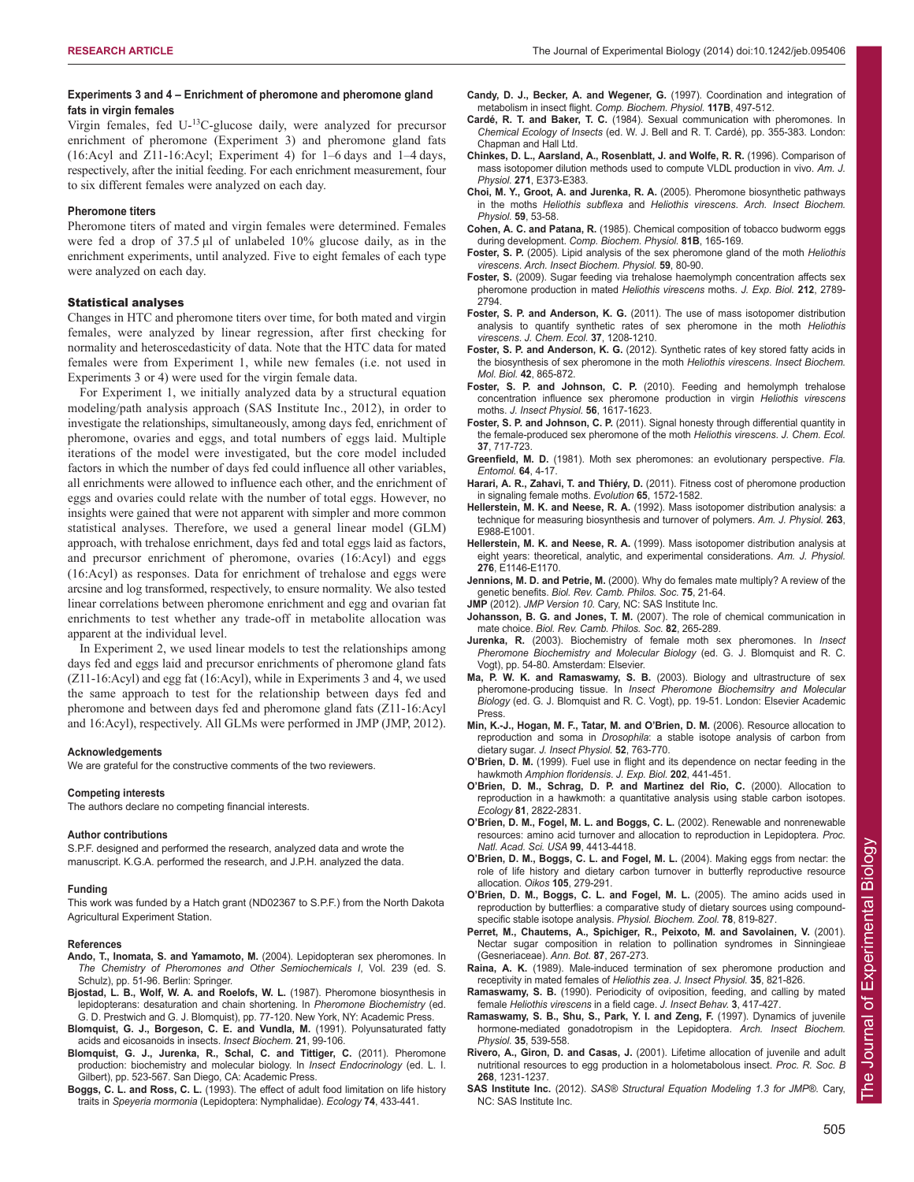#### **Experiments 3 and 4 – Enrichment of pheromone and pheromone gland fats in virgin females**

Virgin females, fed  $U^{-13}C$ -glucose daily, were analyzed for precursor enrichment of pheromone (Experiment 3) and pheromone gland fats (16:Acyl and Z11-16:Acyl; Experiment 4) for 1–6 days and 1–4 days, respectively, after the initial feeding. For each enrichment measurement, four to six different females were analyzed on each day.

#### **Pheromone titers**

Pheromone titers of mated and virgin females were determined. Females were fed a drop of 37.5 μl of unlabeled 10% glucose daily, as in the enrichment experiments, until analyzed. Five to eight females of each type were analyzed on each day.

#### Statistical analyses

Changes in HTC and pheromone titers over time, for both mated and virgin females, were analyzed by linear regression, after first checking for normality and heteroscedasticity of data. Note that the HTC data for mated females were from Experiment 1, while new females (i.e. not used in Experiments 3 or 4) were used for the virgin female data.

For Experiment 1, we initially analyzed data by a structural equation modeling/path analysis approach (SAS Institute Inc., 2012), in order to investigate the relationships, simultaneously, among days fed, enrichment of pheromone, ovaries and eggs, and total numbers of eggs laid. Multiple iterations of the model were investigated, but the core model included factors in which the number of days fed could influence all other variables, all enrichments were allowed to influence each other, and the enrichment of eggs and ovaries could relate with the number of total eggs. However, no insights were gained that were not apparent with simpler and more common statistical analyses. Therefore, we used a general linear model (GLM) approach, with trehalose enrichment, days fed and total eggs laid as factors, and precursor enrichment of pheromone, ovaries (16:Acyl) and eggs (16:Acyl) as responses. Data for enrichment of trehalose and eggs were arcsine and log transformed, respectively, to ensure normality. We also tested linear correlations between pheromone enrichment and egg and ovarian fat enrichments to test whether any trade-off in metabolite allocation was apparent at the individual level.

In Experiment 2, we used linear models to test the relationships among days fed and eggs laid and precursor enrichments of pheromone gland fats (Z11-16:Acyl) and egg fat (16:Acyl), while in Experiments 3 and 4, we used the same approach to test for the relationship between days fed and pheromone and between days fed and pheromone gland fats (Z11-16:Acyl and 16:Acyl), respectively. All GLMs were performed in JMP (JMP, 2012).

#### **Acknowledgements**

We are grateful for the constructive comments of the two reviewers.

#### **Competing interests**

The authors declare no competing financial interests.

#### **Author contributions**

S.P.F. designed and performed the research, analyzed data and wrote the manuscript. K.G.A. performed the research, and J.P.H. analyzed the data.

#### **Funding**

This work was funded by a Hatch grant (ND02367 to S.P.F.) from the North Dakota Agricultural Experiment Station.

#### **References**

- **Ando, T., Inomata, S. and Yamamoto, M.** (2004). Lepidopteran sex pheromones. In *The Chemistry of Pheromones and Other Semiochemicals I*, Vol. 239 (ed. S. Schulz), pp. 51-96. Berlin: Springer.
- **Bjostad, L. B., Wolf, W. A. and Roelofs, W. L.** (1987). Pheromone biosynthesis in lepidopterans: desaturation and chain shortening. In *Pheromone Biochemistry* (ed. G. D. Prestwich and G. J. Blomquist), pp. 77-120. New York, NY: Academic Press.
- **Blomquist, G. J., Borgeson, C. E. and Vundla, M.** (1991). Polyunsaturated fatty acids and eicosanoids in insects. *Insect Biochem.* **21**, 99-106.
- **Blomquist, G. J., Jurenka, R., Schal, C. and Tittiger, C.** (2011). Pheromone production: biochemistry and molecular biology. In *Insect Endocrinology* (ed. L. I. Gilbert), pp. 523-567. San Diego, CA: Academic Press.
- **Boggs, C. L. and Ross, C. L.** (1993). The effect of adult food limitation on life history traits in *Speyeria mormonia* (Lepidoptera: Nymphalidae). *Ecology* **74**, 433-441.

**Candy, D. J., Becker, A. and Wegener, G.** (1997). Coordination and integration of metabolism in insect flight. *Comp. Biochem. Physiol.* **117B**, 497-512.

- **Cardé, R. T. and Baker, T. C.** (1984). Sexual communication with pheromones. In *Chemical Ecology of Insects* (ed. W. J. Bell and R. T. Cardé), pp. 355-383. London: Chapman and Hall Ltd.
- **Chinkes, D. L., Aarsland, A., Rosenblatt, J. and Wolfe, R. R.** (1996). Comparison of mass isotopomer dilution methods used to compute VLDL production in vivo. *Am. J. Physiol.* **271**, E373-E383.
- **Choi, M. Y., Groot, A. and Jurenka, R. A.** (2005). Pheromone biosynthetic pathways in the moths *Heliothis subflexa* and *Heliothis virescens*. *Arch. Insect Biochem. Physiol.* **59**, 53-58.
- **Cohen, A. C. and Patana, R.** (1985). Chemical composition of tobacco budworm eggs during development. *Comp. Biochem. Physiol.* **81B**, 165-169.
- **Foster, S. P.** (2005). Lipid analysis of the sex pheromone gland of the moth *Heliothis virescens*. *Arch. Insect Biochem. Physiol.* **59**, 80-90.
- **Foster, S.** (2009). Sugar feeding via trehalose haemolymph concentration affects sex pheromone production in mated *Heliothis virescens* moths. *J. Exp. Biol.* **212**, 2789- 2794.
- **Foster, S. P. and Anderson, K. G.** (2011). The use of mass isotopomer distribution analysis to quantify synthetic rates of sex pheromone in the moth *Heliothis virescens*. *J. Chem. Ecol.* **37**, 1208-1210.
- **Foster, S. P. and Anderson, K. G.** (2012). Synthetic rates of key stored fatty acids in the biosynthesis of sex pheromone in the moth *Heliothis virescens*. *Insect Biochem. Mol. Biol.* **42**, 865-872.
- **Foster, S. P. and Johnson, C. P.** (2010). Feeding and hemolymph trehalose concentration influence sex pheromone production in virgin *Heliothis virescens* moths. *J. Insect Physiol.* **56**, 1617-1623.
- **Foster, S. P. and Johnson, C. P.** (2011). Signal honesty through differential quantity in the female-produced sex pheromone of the moth *Heliothis virescens*. *J. Chem. Ecol.* **37**, 717-723.
- **Greenfield, M. D.** (1981). Moth sex pheromones: an evolutionary perspective. *Fla. Entomol.* **64**, 4-17.
- **Harari, A. R., Zahavi, T. and Thiéry, D.** (2011). Fitness cost of pheromone production in signaling female moths. *Evolution* **65**, 1572-1582.
- **Hellerstein, M. K. and Neese, R. A.** (1992). Mass isotopomer distribution analysis: a technique for measuring biosynthesis and turnover of polymers. *Am. J. Physiol.* **263**, E988-E1001.
- **Hellerstein, M. K. and Neese, R. A.** (1999). Mass isotopomer distribution analysis at eight years: theoretical, analytic, and experimental considerations. *Am. J. Physiol.* **276**, E1146-E1170.
- **Jennions, M. D. and Petrie, M.** (2000). Why do females mate multiply? A review of the genetic benefits. *Biol. Rev. Camb. Philos. Soc.* **75**, 21-64.
- **JMP** (2012). *JMP Version 10.* Cary, NC: SAS Institute Inc.
- **Johansson, B. G. and Jones, T. M.** (2007). The role of chemical communication in mate choice. *Biol. Rev. Camb. Philos. Soc.* **82**, 265-289.
- **Jurenka, R.** (2003). Biochemistry of female moth sex pheromones. In *Insect Pheromone Biochemistry and Molecular Biology* (ed. G. J. Blomquist and R. C. Vogt), pp. 54-80. Amsterdam: Elsevier.
- **Ma, P. W. K. and Ramaswamy, S. B.** (2003). Biology and ultrastructure of sex pheromone-producing tissue. In *Insect Pheromone Biochemsitry and Molecular Biology* (ed. G. J. Blomquist and R. C. Vogt), pp. 19-51. London: Elsevier Academic Press.
- **Min, K.-J., Hogan, M. F., Tatar, M. and O'Brien, D. M.** (2006). Resource allocation to reproduction and soma in *Drosophila*: a stable isotope analysis of carbon from dietary sugar. *J. Insect Physiol.* **52**, 763-770.
- **O'Brien, D. M.** (1999). Fuel use in flight and its dependence on nectar feeding in the hawkmoth *Amphion floridensis*. *J. Exp. Biol.* **202**, 441-451.
- **O'Brien, D. M., Schrag, D. P. and Martinez del Rio, C.** (2000). Allocation to reproduction in a hawkmoth: a quantitative analysis using stable carbon isotopes. *Ecology* **81**, 2822-2831.
- **O'Brien, D. M., Fogel, M. L. and Boggs, C. L.** (2002). Renewable and nonrenewable resources: amino acid turnover and allocation to reproduction in Lepidoptera. *Proc. Natl. Acad. Sci. USA* **99**, 4413-4418.
- **O'Brien, D. M., Boggs, C. L. and Fogel, M. L.** (2004). Making eggs from nectar: the role of life history and dietary carbon turnover in butterfly reproductive resource allocation. *Oikos* **105**, 279-291.
- **O'Brien, D. M., Boggs, C. L. and Fogel, M. L.** (2005). The amino acids used in reproduction by butterflies: a comparative study of dietary sources using compoundspecific stable isotope analysis. *Physiol. Biochem. Zool.* **78**, 819-827.
- **Perret, M., Chautems, A., Spichiger, R., Peixoto, M. and Savolainen, V.** (2001). Nectar sugar composition in relation to pollination syndromes in Sinningieae (Gesneriaceae). *Ann. Bot.* **87**, 267-273.
- **Raina, A. K.** (1989). Male-induced termination of sex pheromone production and receptivity in mated females of *Heliothis zea*. *J. Insect Physiol.* **35**, 821-826.
- **Ramaswamy, S. B.** (1990). Periodicity of oviposition, feeding, and calling by mated female *Heliothis virescens* in a field cage. *J. Insect Behav.* **3**, 417-427.
- **Ramaswamy, S. B., Shu, S., Park, Y. I. and Zeng, F.** (1997). Dynamics of juvenile hormone-mediated gonadotropism in the Lepidoptera. *Arch. Insect Biochem. Physiol.* **35**, 539-558.
- **Rivero, A., Giron, D. and Casas, J.** (2001). Lifetime allocation of juvenile and adult nutritional resources to egg production in a holometabolous insect. *Proc. R. Soc. B* **268**, 1231-1237.
- **SAS Institute Inc.** (2012). *SAS® Structural Equation Modeling 1.3 for JMP®*. Cary, NC: SAS Institute Inc.